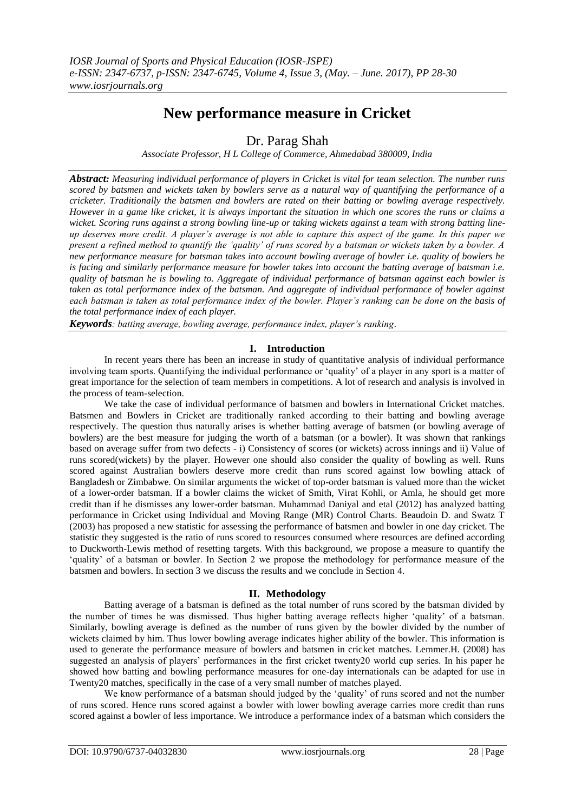# **New performance measure in Cricket**

Dr. Parag Shah

*Associate Professor, H L College of Commerce, Ahmedabad 380009, India*

*Abstract: Measuring individual performance of players in Cricket is vital for team selection. The number runs scored by batsmen and wickets taken by bowlers serve as a natural way of quantifying the performance of a cricketer. Traditionally the batsmen and bowlers are rated on their batting or bowling average respectively. However in a game like cricket, it is always important the situation in which one scores the runs or claims a wicket. Scoring runs against a strong bowling line-up or taking wickets against a team with strong batting lineup deserves more credit. A player's average is not able to capture this aspect of the game. In this paper we present a refined method to quantify the 'quality' of runs scored by a batsman or wickets taken by a bowler. A new performance measure for batsman takes into account bowling average of bowler i.e. quality of bowlers he is facing and similarly performance measure for bowler takes into account the batting average of batsman i.e. quality of batsman he is bowling to. Aggregate of individual performance of batsman against each bowler is taken as total performance index of the batsman. And aggregate of individual performance of bowler against each batsman is taken as total performance index of the bowler. Player's ranking can be done on the basis of the total performance index of each player.* 

*Keywords: batting average, bowling average, performance index, player's ranking.* 

# **I. Introduction**

In recent years there has been an increase in study of quantitative analysis of individual performance involving team sports. Quantifying the individual performance or 'quality' of a player in any sport is a matter of great importance for the selection of team members in competitions. A lot of research and analysis is involved in the process of team-selection.

We take the case of individual performance of batsmen and bowlers in International Cricket matches. Batsmen and Bowlers in Cricket are traditionally ranked according to their batting and bowling average respectively. The question thus naturally arises is whether batting average of batsmen (or bowling average of bowlers) are the best measure for judging the worth of a batsman (or a bowler). It was shown that rankings based on average suffer from two defects - i) Consistency of scores (or wickets) across innings and ii) Value of runs scored(wickets) by the player. However one should also consider the quality of bowling as well. Runs scored against Australian bowlers deserve more credit than runs scored against low bowling attack of Bangladesh or Zimbabwe. On similar arguments the wicket of top-order batsman is valued more than the wicket of a lower-order batsman. If a bowler claims the wicket of Smith, Virat Kohli, or Amla, he should get more credit than if he dismisses any lower-order batsman. Muhammad Daniyal and etal (2012) has analyzed batting performance in Cricket using Individual and Moving Range (MR) Control Charts. Beaudoin D. and Swatz T (2003) has proposed a new statistic for assessing the performance of batsmen and bowler in one day cricket. The statistic they suggested is the ratio of runs scored to resources consumed where resources are defined according to Duckworth-Lewis method of resetting targets. With this background, we propose a measure to quantify the 'quality' of a batsman or bowler. In Section 2 we propose the methodology for performance measure of the batsmen and bowlers. In section 3 we discuss the results and we conclude in Section 4.

# **II. Methodology**

Batting average of a batsman is defined as the total number of runs scored by the batsman divided by the number of times he was dismissed. Thus higher batting average reflects higher 'quality' of a batsman. Similarly, bowling average is defined as the number of runs given by the bowler divided by the number of wickets claimed by him. Thus lower bowling average indicates higher ability of the bowler. This information is used to generate the performance measure of bowlers and batsmen in cricket matches. Lemmer.H. (2008) has suggested an analysis of players' performances in the first cricket twenty20 world cup series. In his paper he showed how batting and bowling performance measures for one-day internationals can be adapted for use in Twenty20 matches, specifically in the case of a very small number of matches played.

We know performance of a batsman should judged by the 'quality' of runs scored and not the number of runs scored. Hence runs scored against a bowler with lower bowling average carries more credit than runs scored against a bowler of less importance. We introduce a performance index of a batsman which considers the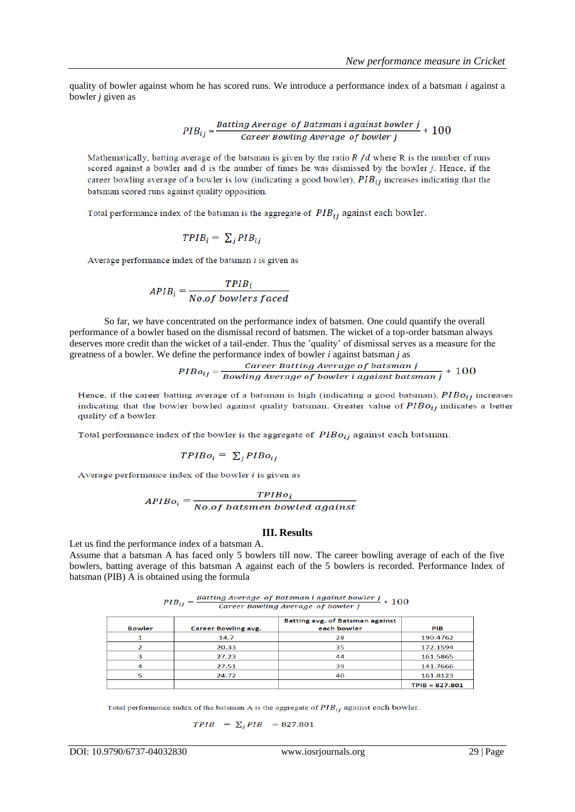quality of bowler against whom he has scored runs. We introduce a performance index of a batsman *i* against a bowler *j* given as

$$
PIB_{ij} = \frac{Batting Average\ of\ Batsman\ i\ against\ bowler\ j}{Career\ Bowling Average\ of\ bowler\ j} * 100
$$

Mathematically, batting average of the batsman is given by the ratio  $R/d$  where R is the number of runs scored against a bowler and d is the number of times he was dismissed by the bowler j. Hence, if the career bowling average of a bowler is low (indicating a good bowler),  $PIB_{ij}$  increases indicating that the batsman scored runs against quality opposition.

Total performance index of the batsman is the aggregate of  $PIB_{ij}$  against each bowler.

$$
TPIB_i = \sum_i PIB_{ij}
$$

Average performance index of the batsman  $i$  is given as

$$
APIB_i = \frac{TPIB_i}{No. of \, bowlers \, faced}
$$

So far, we have concentrated on the performance index of batsmen. One could quantify the overall performance of a bowler based on the dismissal record of batsmen. The wicket of a top-order batsman always deserves more credit than the wicket of a tail-ender. Thus the 'quality' of dismissal serves as a measure for the

greatness of a bowler. We define the performance index of bowler *i* against batsman *j* as<br> $PIBo_{ij} = \frac{Career Bating Average of batsman j}{Bowling Average of bower i against batsman j} * 100$ 

Hence, if the career batting average of a batsman is high (indicating a good batsman),  $PIBo_{ij}$  increases indicating that the bowler bowled against quality batsman. Greater value of  $PIBo_{ij}$  indicates a better quality of a bowler.

Total performance index of the bowler is the aggregate of  $PIBo_{ij}$  against each batsman.

$$
TPIBo_i = \sum_j PIBo_{ij}
$$

Average performance index of the bowler  $i$  is given as

$$
APIBo_i = \frac{TPIBo_i}{No.of\ batsmen\ bowled\ against}
$$

## **III. Results**

Let us find the performance index of a batsman A.

Assume that a batsman A has faced only 5 bowlers till now. The career bowling average of each of the five bowlers, batting average of this batsman A against each of the 5 bowlers is recorded. Performance Index of batsman (PIB) A is obtained using the formula

| $PIB_{ij} =$ | Batting Average of Batsman i against bowler $j\atop 100$ |  |
|--------------|----------------------------------------------------------|--|
|              | Career Bowling Average of bowler j                       |  |

| <b>Bowler</b> | <b>Career Bowling avg.</b> | Batting avg. of Batsman against<br>each bowler | PIB              |
|---------------|----------------------------|------------------------------------------------|------------------|
|               | 14.7                       | 28                                             | 190.4762         |
|               | 20.33                      | 35                                             | 172.1594         |
| 0             | 27.23                      | 44                                             | 161.5865         |
|               | 27.51                      | 39                                             | 141.7666         |
|               | 24.72                      | 40                                             | 161.8123         |
|               |                            |                                                | $TPIB = 827.801$ |

Total performance index of the batsman A is the aggregate of  $PIB_{ij}$  against each bowler.

$$
TPIB = \sum_{i} PIB = 827.801
$$